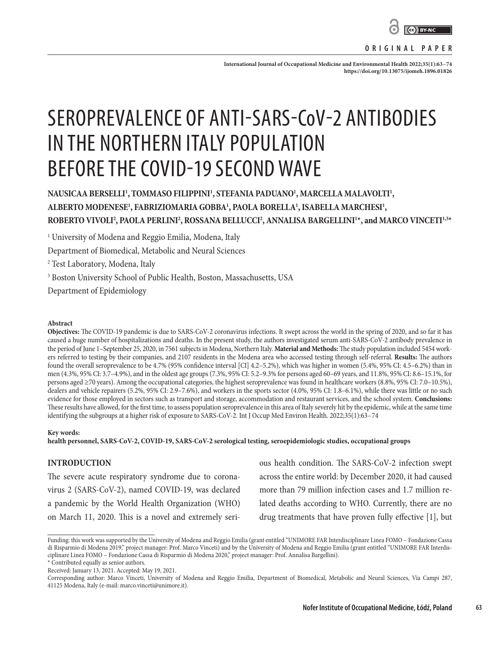

**ORIGINAL PAPER**

**International Journal of Occupational Medicine and Environmental Health 2022;35(1):63–74 <https://doi.org/10.13075/ijomeh.1896.01826>**

# SEROPREVALENCE OF ANTI-SARS-CoV-2 ANTIBODIES IN THE NORTHERN ITALY POPULATION BEFORE THE COVID-19 SECOND WAVE

# NAUSICAA BERSELLI<sup>1</sup>, TOMMASO FILIPPINI<sup>1</sup>, STEFANIA PADUANO<sup>1</sup>, MARCELLA MALAVOLTI<sup>1</sup>, **ALBERTO MODENESE1 , FABRIZIOMARIA GOBBA1 , PAOLA BORELLA1 , ISABELLA MARCHESI1 , ROBERTO VIVOLI2 , PAOLA PERLINI2 , ROSSANA BELLUCCI2 , ANNALISA BARGELLINI1 \*, and MARCO VINCETI1,3\***

1 University of Modena and Reggio Emilia, Modena, Italy

Department of Biomedical, Metabolic and Neural Sciences

2 Test Laboratory, Modena, Italy

3 Boston University School of Public Health, Boston, Massachusetts, USA

Department of Epidemiology

#### **Abstract**

**Objectives:** The COVID-19 pandemic is due to SARS-CoV-2 coronavirus infections. It swept across the world in the spring of 2020, and so far it has caused a huge number of hospitalizations and deaths. In the present study, the authors investigated serum anti-SARS-CoV-2 antibody prevalence in the period of June 1–September 25, 2020, in 7561 subjects in Modena, Northern Italy. **Material and Methods:** The study population included 5454 workers referred to testing by their companies, and 2107 residents in the Modena area who accessed testing through self-referral. **Results:** The authors found the overall seroprevalence to be 4.7% (95% confidence interval [CI] 4.2–5.2%), which was higher in women (5.4%, 95% CI: 4.5–6.2%) than in men (4.3%, 95% CI: 3.7–4.9%), and in the oldest age groups (7.3%, 95% CI: 5.2–9.3% for persons aged 60–69 years, and 11.8%, 95% CI: 8.6–15.1%, for persons aged ≥70 years). Among the occupational categories, the highest seroprevalence was found in healthcare workers (8.8%, 95% CI: 7.0–10.5%), dealers and vehicle repairers (5.2%, 95% CI: 2.9–7.6%), and workers in the sports sector (4.0%, 95% CI: 1.8–6.1%), while there was little or no such evidence for those employed in sectors such as transport and storage, accommodation and restaurant services, and the school system. **Conclusions:** These results have allowed, for the first time, to assess population seroprevalence in this area of Italy severely hit by the epidemic, while at the same time identifying the subgroups at a higher risk of exposure to SARS-CoV-2. Int J Occup Med Environ Health. 2022;35(1):63–74

#### **Key words:**

**health personnel, SARS-CoV-2, COVID-19, SARS-CoV-2 serological testing, seroepidemiologic studies, occupational groups**

# **INTRODUCTION**

The severe acute respiratory syndrome due to coronavirus 2 (SARS-CoV-2), named COVID-19, was declared a pandemic by the World Health Organization (WHO) on March 11, 2020. This is a novel and extremely seri-

ous health condition. The SARS-CoV-2 infection swept across the entire world: by December 2020, it had caused more than 79 million infection cases and 1.7 million related deaths according to WHO. Currently, there are no drug treatments that have proven fully effective [1], but

Funding: this work was supported by the University of Modena and Reggio Emilia (grant entitled "UNIMORE FAR Interdisciplinare Linea FOMO – Fondazione Cassa di Risparmio di Modena 2019," project manager: Prof. Marco Vinceti) and by the University of Modena and Reggio Emilia (grant entitled "UNIMORE FAR Interdisciplinare Linea FOMO – Fondazione Cassa di Risparmio di Modena 2020," project manager: Prof. Annalisa Bargellini).

<sup>\*</sup> Contributed equally as senior authors.

Received: January 13, 2021. Accepted: May 19, 2021.

Corresponding author: Marco Vinceti, University of Modena and Reggio Emilia, Department of Biomedical, Metabolic and Neural Sciences, Via Campi 287, 41125 Modena, Italy (e-mail: marco.vinceti@unimore.it).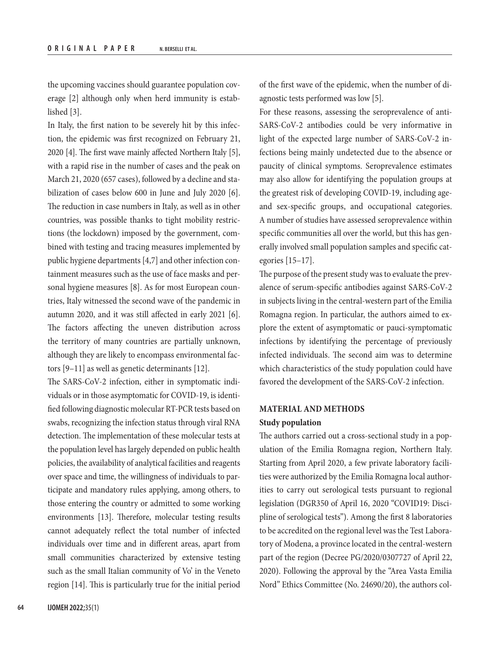the upcoming vaccines should guarantee population coverage [2] although only when herd immunity is established [3].

In Italy, the first nation to be severely hit by this infection, the epidemic was first recognized on February 21, 2020 [4]. The first wave mainly affected Northern Italy [5], with a rapid rise in the number of cases and the peak on March 21, 2020 (657 cases), followed by a decline and stabilization of cases below 600 in June and July 2020 [6]. The reduction in case numbers in Italy, as well as in other countries, was possible thanks to tight mobility restrictions (the lockdown) imposed by the government, combined with testing and tracing measures implemented by public hygiene departments [4,7] and other infection containment measures such as the use of face masks and personal hygiene measures [8]. As for most European countries, Italy witnessed the second wave of the pandemic in autumn 2020, and it was still affected in early 2021 [6]. The factors affecting the uneven distribution across the territory of many countries are partially unknown, although they are likely to encompass environmental factors [9–11] as well as genetic determinants [12].

The SARS-CoV-2 infection, either in symptomatic individuals or in those asymptomatic for COVID-19, is identified following diagnostic molecular RT-PCR tests based on swabs, recognizing the infection status through viral RNA detection. The implementation of these molecular tests at the population level has largely depended on public health policies, the availability of analytical facilities and reagents over space and time, the willingness of individuals to participate and mandatory rules applying, among others, to those entering the country or admitted to some working environments [13]. Therefore, molecular testing results cannot adequately reflect the total number of infected individuals over time and in different areas, apart from small communities characterized by extensive testing such as the small Italian community of Vo' in the Veneto region [14]. This is particularly true for the initial period of the first wave of the epidemic, when the number of diagnostic tests performed was low [5].

For these reasons, assessing the seroprevalence of anti-SARS-CoV-2 antibodies could be very informative in light of the expected large number of SARS-CoV-2 infections being mainly undetected due to the absence or paucity of clinical symptoms. Seroprevalence estimates may also allow for identifying the population groups at the greatest risk of developing COVID-19, including ageand sex-specific groups, and occupational categories. A number of studies have assessed seroprevalence within specific communities all over the world, but this has generally involved small population samples and specific categories [15–17].

The purpose of the present study was to evaluate the prevalence of serum-specific antibodies against SARS-CoV-2 in subjects living in the central-western part of the Emilia Romagna region. In particular, the authors aimed to explore the extent of asymptomatic or pauci-symptomatic infections by identifying the percentage of previously infected individuals. The second aim was to determine which characteristics of the study population could have favored the development of the SARS-CoV-2 infection.

# **MATERIAL AND METHODS Study population**

The authors carried out a cross-sectional study in a population of the Emilia Romagna region, Northern Italy. Starting from April 2020, a few private laboratory facilities were authorized by the Emilia Romagna local authorities to carry out serological tests pursuant to regional legislation (DGR350 of April 16, 2020 "COVID19: Discipline of serological tests"). Among the first 8 laboratories to be accredited on the regional level was the Test Laboratory of Modena, a province located in the central-western part of the region (Decree PG/2020/0307727 of April 22, 2020). Following the approval by the "Area Vasta Emilia Nord" Ethics Committee (No. 24690/20), the authors col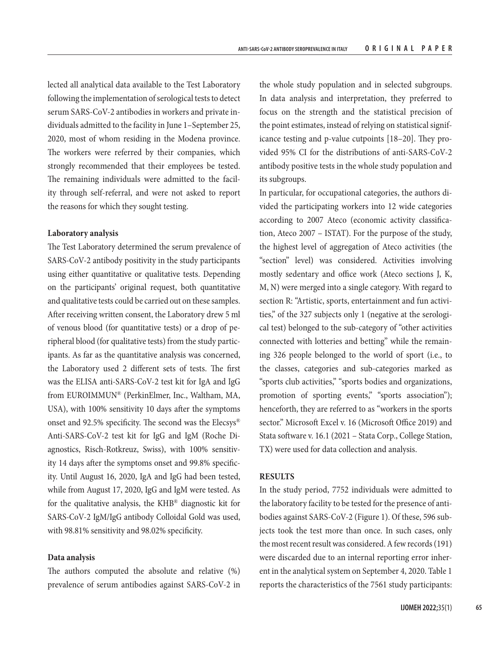lected all analytical data available to the Test Laboratory following the implementation of serological tests to detect serum SARS-CoV-2 antibodies in workers and private individuals admitted to the facility in June 1–September 25, 2020, most of whom residing in the Modena province. The workers were referred by their companies, which strongly recommended that their employees be tested. The remaining individuals were admitted to the facility through self-referral, and were not asked to report the reasons for which they sought testing.

## **Laboratory analysis**

The Test Laboratory determined the serum prevalence of SARS-CoV-2 antibody positivity in the study participants using either quantitative or qualitative tests. Depending on the participants' original request, both quantitative and qualitative tests could be carried out on these samples. After receiving written consent, the Laboratory drew 5 ml of venous blood (for quantitative tests) or a drop of peripheral blood (for qualitative tests) from the study participants. As far as the quantitative analysis was concerned, the Laboratory used 2 different sets of tests. The first was the ELISA anti-SARS-CoV-2 test kit for IgA and IgG from EUROIMMUN® (PerkinElmer, Inc., Waltham, MA, USA), with 100% sensitivity 10 days after the symptoms onset and 92.5% specificity. The second was the Elecsys® Anti-SARS-CoV-2 test kit for IgG and IgM (Roche Diagnostics, Risch-Rotkreuz, Swiss), with 100% sensitivity 14 days after the symptoms onset and 99.8% specificity. Until August 16, 2020, IgA and IgG had been tested, while from August 17, 2020, IgG and IgM were tested. As for the qualitative analysis, the KHB® diagnostic kit for SARS-CoV-2 IgM/IgG antibody Colloidal Gold was used, with 98.81% sensitivity and 98.02% specificity.

# **Data analysis**

The authors computed the absolute and relative (%) prevalence of serum antibodies against SARS-CoV-2 in

the whole study population and in selected subgroups. In data analysis and interpretation, they preferred to focus on the strength and the statistical precision of the point estimates, instead of relying on statistical significance testing and p-value cutpoints [18–20]. They provided 95% CI for the distributions of anti-SARS-CoV-2 antibody positive tests in the whole study population and its subgroups.

In particular, for occupational categories, the authors divided the participating workers into 12 wide categories according to 2007 Ateco (economic activity classification, Ateco 2007 – ISTAT). For the purpose of the study, the highest level of aggregation of Ateco activities (the "section" level) was considered. Activities involving mostly sedentary and office work (Ateco sections J, K, M, N) were merged into a single category. With regard to section R: "Artistic, sports, entertainment and fun activities," of the 327 subjects only 1 (negative at the serological test) belonged to the sub-category of "other activities connected with lotteries and betting" while the remaining 326 people belonged to the world of sport (i.e., to the classes, categories and sub-categories marked as "sports club activities," "sports bodies and organizations, promotion of sporting events," "sports association"); henceforth, they are referred to as "workers in the sports sector." Microsoft Excel v. 16 (Microsoft Office 2019) and Stata software v. 16.1 (2021 – Stata Corp., College Station, TX) were used for data collection and analysis.

#### **RESULTS**

In the study period, 7752 individuals were admitted to the laboratory facility to be tested for the presence of antibodies against SARS-CoV-2 (Figure 1). Of these, 596 subjects took the test more than once. In such cases, only the most recent result was considered. A few records (191) were discarded due to an internal reporting error inherent in the analytical system on September 4, 2020. Table 1 reports the characteristics of the 7561 study participants: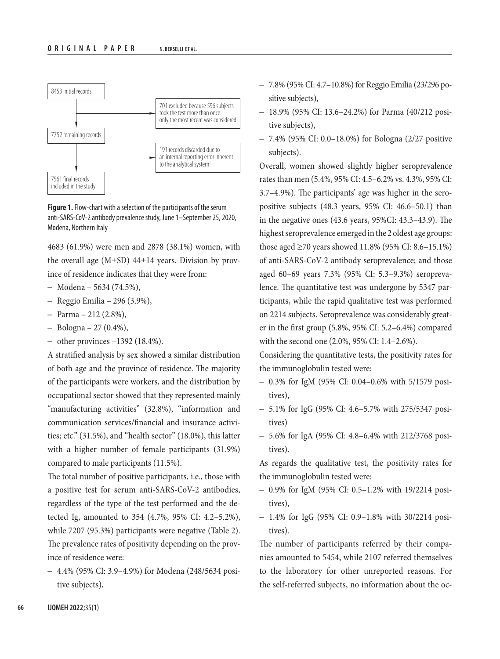

**Figure 1.** Flow-chart with a selection of the participants of the serum anti-SARS-CoV-2 antibody prevalence study, June 1–September 25, 2020, Modena, Northern Italy

4683 (61.9%) were men and 2878 (38.1%) women, with the overall age  $(M\pm SD)$  44 $\pm$ 14 years. Division by province of residence indicates that they were from:

- Modena 5634 (74.5%),
- Reggio Emilia 296 (3.9%),
- Parma 212 (2.8%),
- $-$  Bologna  $-$  27 (0.4%),
- other provinces  $-1392$  (18.4%).

A stratified analysis by sex showed a similar distribution of both age and the province of residence. The majority of the participants were workers, and the distribution by occupational sector showed that they represented mainly "manufacturing activities" (32.8%), "information and communication services/financial and insurance activities; etc." (31.5%), and "health sector" (18.0%), this latter with a higher number of female participants (31.9%) compared to male participants (11.5%).

The total number of positive participants, i.e., those with a positive test for serum anti-SARS-CoV-2 antibodies, regardless of the type of the test performed and the detected Ig, amounted to 354 (4.7%, 95% CI: 4.2–5.2%), while 7207 (95.3%) participants were negative (Table 2). The prevalence rates of positivity depending on the province of residence were:

– 4.4% (95% CI: 3.9–4.9%) for Modena (248/5634 positive subjects),

- 7.8% (95% CI: 4.7–10.8%) for Reggio Emilia (23/296 positive subjects),
- 18.9% (95% CI: 13.6–24.2%) for Parma (40/212 positive subjects),
- 7.4% (95% CI: 0.0–18.0%) for Bologna (2/27 positive subjects).

Overall, women showed slightly higher seroprevalence rates than men (5.4%, 95% CI: 4.5–6.2% vs. 4.3%, 95% CI: 3.7–4.9%). The participants' age was higher in the seropositive subjects (48.3 years, 95% CI: 46.6–50.1) than in the negative ones (43.6 years, 95%CI: 43.3–43.9). The highest seroprevalence emerged in the 2 oldest age groups: those aged ≥70 years showed 11.8% (95% CI: 8.6–15.1%) of anti-SARS-CoV-2 antibody seroprevalence; and those aged 60–69 years 7.3% (95% CI: 5.3–9.3%) seroprevalence. The quantitative test was undergone by 5347 participants, while the rapid qualitative test was performed on 2214 subjects. Seroprevalence was considerably greater in the first group (5.8%, 95% CI: 5.2–6.4%) compared with the second one (2.0%, 95% CI: 1.4–2.6%).

Considering the quantitative tests, the positivity rates for the immunoglobulin tested were:

- 0.3% for IgM (95% CI: 0.04–0.6% with 5/1579 positives),
- 5.1% for IgG (95% CI: 4.6–5.7% with 275/5347 positives)
- 5.6% for IgA (95% CI: 4.8–6.4% with 212/3768 positives).

As regards the qualitative test, the positivity rates for the immunoglobulin tested were:

- 0.9% for IgM (95% CI: 0.5–1.2% with 19/2214 positives),
- 1.4% for IgG (95% CI: 0.9–1.8% with 30/2214 positives).

The number of participants referred by their companies amounted to 5454, while 2107 referred themselves to the laboratory for other unreported reasons. For the self-referred subjects, no information about the oc-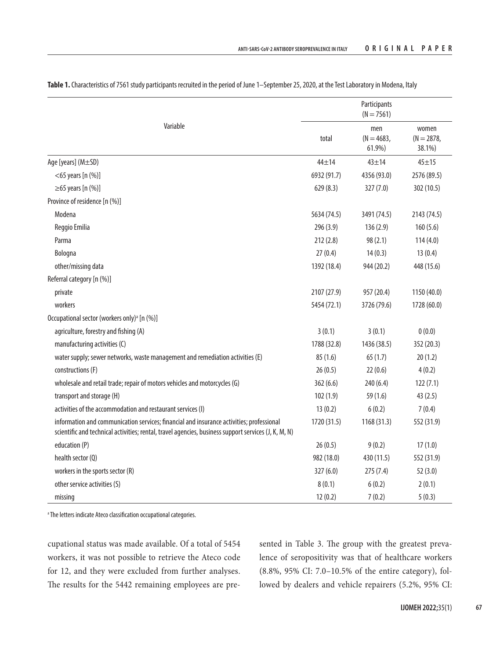|                                                                                                                                                                                                  | Participants<br>$(N = 7561)$ |                               |                                 |  |  |
|--------------------------------------------------------------------------------------------------------------------------------------------------------------------------------------------------|------------------------------|-------------------------------|---------------------------------|--|--|
| Variable                                                                                                                                                                                         | total                        | men<br>$(N = 4683,$<br>61.9%) | women<br>$(N = 2878,$<br>38.1%) |  |  |
| Age [years] (M±SD)                                                                                                                                                                               | $44 + 14$                    | $43 + 14$                     | $45 + 15$                       |  |  |
| $<$ 65 years [n $(\%)$ ]                                                                                                                                                                         | 6932 (91.7)                  | 4356 (93.0)                   | 2576 (89.5)                     |  |  |
| $\geq$ 65 years [n (%)]                                                                                                                                                                          | 629(8.3)                     | 327(7.0)                      | 302 (10.5)                      |  |  |
| Province of residence [n (%)]                                                                                                                                                                    |                              |                               |                                 |  |  |
| Modena                                                                                                                                                                                           | 5634 (74.5)                  | 3491 (74.5)                   | 2143 (74.5)                     |  |  |
| Reggio Emilia                                                                                                                                                                                    | 296(3.9)                     | 136(2.9)                      | 160(5.6)                        |  |  |
| Parma                                                                                                                                                                                            | 212(2.8)                     | 98 (2.1)                      | 114(4.0)                        |  |  |
| Bologna                                                                                                                                                                                          | 27(0.4)                      | 14(0.3)                       | 13(0.4)                         |  |  |
| other/missing data                                                                                                                                                                               | 1392 (18.4)                  | 944 (20.2)                    | 448 (15.6)                      |  |  |
| Referral category [n (%)]                                                                                                                                                                        |                              |                               |                                 |  |  |
| private                                                                                                                                                                                          | 2107 (27.9)                  | 957 (20.4)                    | 1150 (40.0)                     |  |  |
| workers                                                                                                                                                                                          | 5454 (72.1)                  | 3726 (79.6)                   | 1728 (60.0)                     |  |  |
| Occupational sector (workers only) <sup>a</sup> [n (%)]                                                                                                                                          |                              |                               |                                 |  |  |
| agriculture, forestry and fishing (A)                                                                                                                                                            | 3(0.1)                       | 3(0.1)                        | 0(0.0)                          |  |  |
| manufacturing activities (C)                                                                                                                                                                     | 1788 (32.8)                  | 1436 (38.5)                   | 352 (20.3)                      |  |  |
| water supply; sewer networks, waste management and remediation activities (E)                                                                                                                    | 85(1.6)                      | 65(1.7)                       | 20(1.2)                         |  |  |
| constructions (F)                                                                                                                                                                                | 26(0.5)                      | 22(0.6)                       | 4(0.2)                          |  |  |
| wholesale and retail trade; repair of motors vehicles and motorcycles (G)                                                                                                                        | 362(6.6)                     | 240 (6.4)                     | 122(7.1)                        |  |  |
| transport and storage (H)                                                                                                                                                                        | 102(1.9)                     | 59 (1.6)                      | 43(2.5)                         |  |  |
| activities of the accommodation and restaurant services (I)                                                                                                                                      | 13(0.2)                      | 6(0.2)                        | 7(0.4)                          |  |  |
| information and communication services; financial and insurance activities; professional<br>scientific and technical activities; rental, travel agencies, business support services (J, K, M, N) | 1720 (31.5)                  | 1168(31.3)                    | 552 (31.9)                      |  |  |
| education (P)                                                                                                                                                                                    | 26(0.5)                      | 9(0.2)                        | 17(1.0)                         |  |  |
| health sector (Q)                                                                                                                                                                                | 982 (18.0)                   | 430 (11.5)                    | 552 (31.9)                      |  |  |
| workers in the sports sector (R)                                                                                                                                                                 | 327(6.0)                     | 275(7.4)                      | 52(3.0)                         |  |  |
| other service activities (S)                                                                                                                                                                     | 8(0.1)                       | 6(0.2)                        | 2(0.1)                          |  |  |
| missing                                                                                                                                                                                          | 12(0.2)                      | 7(0.2)                        | 5(0.3)                          |  |  |

Table 1. Characteristics of 7561 study participants recruited in the period of June 1-September 25, 2020, at the Test Laboratory in Modena, Italy

a The letters indicate Ateco classification occupational categories.

cupational status was made available. Of a total of 5454 workers, it was not possible to retrieve the Ateco code for 12, and they were excluded from further analyses. The results for the 5442 remaining employees are presented in Table 3. The group with the greatest prevalence of seropositivity was that of healthcare workers (8.8%, 95% CI: 7.0–10.5% of the entire category), followed by dealers and vehicle repairers (5.2%, 95% CI: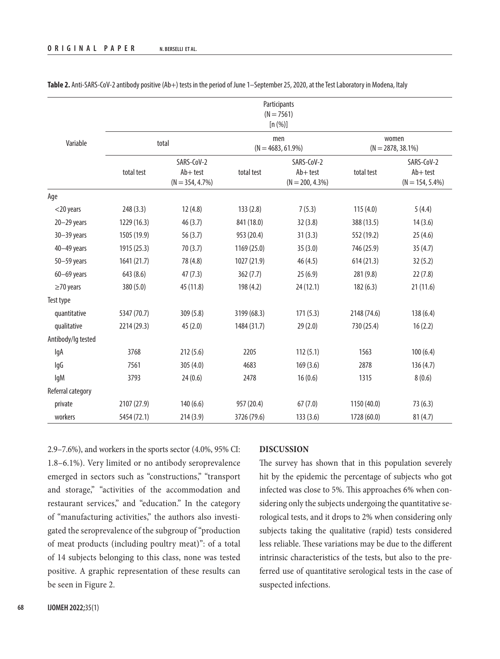|                    | Participants<br>$(N = 7561)$<br>[n (%)] |                                                 |                             |                                                 |                               |                                                 |  |
|--------------------|-----------------------------------------|-------------------------------------------------|-----------------------------|-------------------------------------------------|-------------------------------|-------------------------------------------------|--|
| Variable           | total                                   |                                                 | men<br>$(N = 4683, 61.9\%)$ |                                                 | women<br>$(N = 2878, 38.1\%)$ |                                                 |  |
|                    | total test                              | SARS-CoV-2<br>$Ab + test$<br>$(N = 354, 4.7\%)$ | total test                  | SARS-CoV-2<br>$Ab + test$<br>$(N = 200, 4.3\%)$ | total test                    | SARS-CoV-2<br>$Ab + test$<br>$(N = 154, 5.4\%)$ |  |
| Age                |                                         |                                                 |                             |                                                 |                               |                                                 |  |
| $<$ 20 years       | 248(3.3)                                | 12(4.8)                                         | 133(2.8)                    | 7(5.3)                                          | 115(4.0)                      | 5(4.4)                                          |  |
| $20 - 29$ years    | 1229 (16.3)                             | 46(3.7)                                         | 841 (18.0)                  | 32(3.8)                                         | 388 (13.5)                    | 14(3.6)                                         |  |
| $30 - 39$ years    | 1505 (19.9)                             | 56(3.7)                                         | 953 (20.4)                  | 31(3.3)                                         | 552 (19.2)                    | 25(4.6)                                         |  |
| $40 - 49$ years    | 1915 (25.3)                             | 70(3.7)                                         | 1169 (25.0)                 | 35(3.0)                                         | 746 (25.9)                    | 35(4.7)                                         |  |
| $50 - 59$ years    | 1641 (21.7)                             | 78 (4.8)                                        | 1027 (21.9)                 | 46(4.5)                                         | 614(21.3)                     | 32(5.2)                                         |  |
| $60 - 69$ years    | 643 (8.6)                               | 47(7.3)                                         | 362(7.7)                    | 25(6.9)                                         | 281 (9.8)                     | 22(7.8)                                         |  |
| $\geq$ 70 years    | 380 (5.0)                               | 45 (11.8)                                       | 198 (4.2)                   | 24(12.1)                                        | 182(6.3)                      | 21(11.6)                                        |  |
| Test type          |                                         |                                                 |                             |                                                 |                               |                                                 |  |
| quantitative       | 5347 (70.7)                             | 309 (5.8)                                       | 3199 (68.3)                 | 171(5.3)                                        | 2148 (74.6)                   | 138(6.4)                                        |  |
| qualitative        | 2214 (29.3)                             | 45(2.0)                                         | 1484 (31.7)                 | 29(2.0)                                         | 730 (25.4)                    | 16(2.2)                                         |  |
| Antibody/lg tested |                                         |                                                 |                             |                                                 |                               |                                                 |  |
| lgA                | 3768                                    | 212(5.6)                                        | 2205                        | 112(5.1)                                        | 1563                          | 100(6.4)                                        |  |
| lgG                | 7561                                    | 305(4.0)                                        | 4683                        | 169(3.6)                                        | 2878                          | 136(4.7)                                        |  |
| lgM                | 3793                                    | 24(0.6)                                         | 2478                        | 16(0.6)                                         | 1315                          | 8(0.6)                                          |  |
| Referral category  |                                         |                                                 |                             |                                                 |                               |                                                 |  |
| private            | 2107 (27.9)                             | 140(6.6)                                        | 957 (20.4)                  | 67(7.0)                                         | 1150 (40.0)                   | 73(6.3)                                         |  |
| workers            | 5454 (72.1)                             | 214(3.9)                                        | 3726 (79.6)                 | 133(3.6)                                        | 1728 (60.0)                   | 81(4.7)                                         |  |

**Table 2.** Anti-SARS-CoV-2 antibody positive (Ab+) tests in the period of June 1–September 25, 2020, at the Test Laboratory in Modena, Italy

2.9–7.6%), and workers in the sports sector (4.0%, 95% CI: 1.8–6.1%). Very limited or no antibody seroprevalence emerged in sectors such as "constructions," "transport and storage," "activities of the accommodation and restaurant services," and "education." In the category of "manufacturing activities," the authors also investigated the seroprevalence of the subgroup of "production of meat products (including poultry meat)": of a total of 14 subjects belonging to this class, none was tested positive. A graphic representation of these results can be seen in Figure 2.

## **DISCUSSION**

The survey has shown that in this population severely hit by the epidemic the percentage of subjects who got infected was close to 5%. This approaches 6% when considering only the subjects undergoing the quantitative serological tests, and it drops to 2% when considering only subjects taking the qualitative (rapid) tests considered less reliable. These variations may be due to the different intrinsic characteristics of the tests, but also to the preferred use of quantitative serological tests in the case of suspected infections.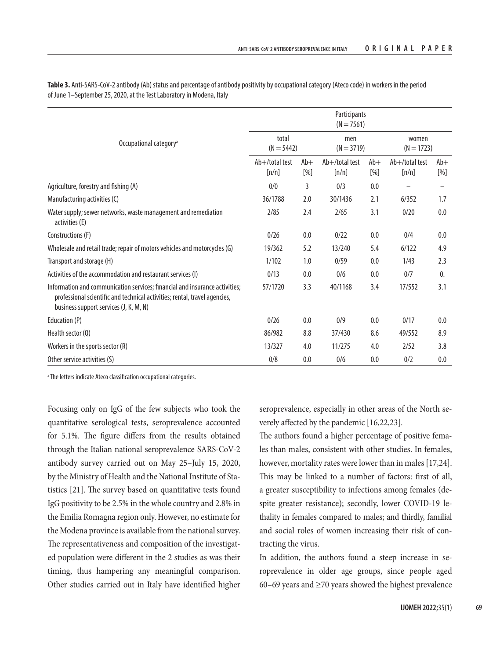|                                                                                                                                                                                                     | Participants<br>$(N = 7561)$ |                                                                                                                                                                                                                                                                                                                                                                                                                                                                             |                            |                 |                            |                |  |  |
|-----------------------------------------------------------------------------------------------------------------------------------------------------------------------------------------------------|------------------------------|-----------------------------------------------------------------------------------------------------------------------------------------------------------------------------------------------------------------------------------------------------------------------------------------------------------------------------------------------------------------------------------------------------------------------------------------------------------------------------|----------------------------|-----------------|----------------------------|----------------|--|--|
| Occupational category <sup>a</sup>                                                                                                                                                                  | total<br>$(N = 5442)$        |                                                                                                                                                                                                                                                                                                                                                                                                                                                                             | men<br>$(N = 3719)$        |                 | women<br>$(N = 1723)$      |                |  |  |
|                                                                                                                                                                                                     | $Ab+$ /total test<br>[n/n]   | $Ab+$<br>$[%] \centering \subfloat[\centering]{{\includegraphics[width=0.25\textwidth]{figs-pi-2.png} }}% \qquad \subfloat[\centering]{{\includegraphics[width=0.25\textwidth]{figs-pi-2.png} }}% \qquad \subfloat[\centering]{{\includegraphics[width=0.25\textwidth]{figs-pi-2.png} }}% \caption{The 3D (top) and the 4D (bottom) of the 3D (bottom) and the 4D (bottom) of the 3D (bottom) of the 3D (bottom) of the 3D (bottom) of the 3D (bottom).} \label{fig:pyi-2}$ | $Ab+$ /total test<br>[n/n] | $Ab+$<br>$[\%]$ | $Ab+$ /total test<br>[n/n] | $Ab+$<br>[%]   |  |  |
| Agriculture, forestry and fishing (A)                                                                                                                                                               | 0/0                          | 3                                                                                                                                                                                                                                                                                                                                                                                                                                                                           | 0/3                        | 0.0             |                            |                |  |  |
| Manufacturing activities (C)                                                                                                                                                                        | 36/1788                      | 2.0                                                                                                                                                                                                                                                                                                                                                                                                                                                                         | 30/1436                    | 2.1             | 6/352                      | 1.7            |  |  |
| Water supply; sewer networks, waste management and remediation<br>activities (E)                                                                                                                    | 2/85                         | 2.4                                                                                                                                                                                                                                                                                                                                                                                                                                                                         | 2/65                       | 3.1             | 0/20                       | 0.0            |  |  |
| Constructions (F)                                                                                                                                                                                   | 0/26                         | 0.0                                                                                                                                                                                                                                                                                                                                                                                                                                                                         | 0/22                       | 0.0             | 0/4                        | 0.0            |  |  |
| Wholesale and retail trade; repair of motors vehicles and motorcycles (G)                                                                                                                           | 19/362                       | 5.2                                                                                                                                                                                                                                                                                                                                                                                                                                                                         | 13/240                     | 5.4             | 6/122                      | 4.9            |  |  |
| Transport and storage (H)                                                                                                                                                                           | 1/102                        | 1.0                                                                                                                                                                                                                                                                                                                                                                                                                                                                         | 0/59                       | 0.0             | 1/43                       | 2.3            |  |  |
| Activities of the accommodation and restaurant services (I)                                                                                                                                         | 0/13                         | 0.0                                                                                                                                                                                                                                                                                                                                                                                                                                                                         | 0/6                        | 0.0             | 0/7                        | $\mathbf{0}$ . |  |  |
| Information and communication services; financial and insurance activities;<br>professional scientific and technical activities; rental, travel agencies,<br>business support services (J, K, M, N) | 57/1720                      | 3.3                                                                                                                                                                                                                                                                                                                                                                                                                                                                         | 40/1168                    | 3.4             | 17/552                     | 3.1            |  |  |
| Education (P)                                                                                                                                                                                       | 0/26                         | 0.0                                                                                                                                                                                                                                                                                                                                                                                                                                                                         | 0/9                        | 0.0             | 0/17                       | 0.0            |  |  |
| Health sector (Q)                                                                                                                                                                                   | 86/982                       | 8.8                                                                                                                                                                                                                                                                                                                                                                                                                                                                         | 37/430                     | 8.6             | 49/552                     | 8.9            |  |  |
| Workers in the sports sector (R)                                                                                                                                                                    | 13/327                       | 4.0                                                                                                                                                                                                                                                                                                                                                                                                                                                                         | 11/275                     | 4.0             | 2/52                       | 3.8            |  |  |
| Other service activities (S)                                                                                                                                                                        | 0/8                          | 0.0                                                                                                                                                                                                                                                                                                                                                                                                                                                                         | 0/6                        | 0.0             | 0/2                        | 0.0            |  |  |

**Table 3.** Anti-SARS-CoV-2 antibody (Ab) status and percentage of antibody positivity by occupational category (Ateco code) in workers in the period of June 1–September 25, 2020, at the Test Laboratory in Modena, Italy

a The letters indicate Ateco classification occupational categories.

Focusing only on IgG of the few subjects who took the quantitative serological tests, seroprevalence accounted for 5.1%. The figure differs from the results obtained through the Italian national seroprevalence SARS-CoV-2 antibody survey carried out on May 25–July 15, 2020, by the Ministry of Health and the National Institute of Statistics [21]. The survey based on quantitative tests found IgG positivity to be 2.5% in the whole country and 2.8% in the Emilia Romagna region only. However, no estimate for the Modena province is available from the national survey. The representativeness and composition of the investigated population were different in the 2 studies as was their timing, thus hampering any meaningful comparison. Other studies carried out in Italy have identified higher

seroprevalence, especially in other areas of the North severely affected by the pandemic [16,22,23].

The authors found a higher percentage of positive females than males, consistent with other studies. In females, however, mortality rates were lower than in males [17,24]. This may be linked to a number of factors: first of all, a greater susceptibility to infections among females (despite greater resistance); secondly, lower COVID-19 lethality in females compared to males; and thirdly, familial and social roles of women increasing their risk of contracting the virus.

In addition, the authors found a steep increase in seroprevalence in older age groups, since people aged 60–69 years and  $\geq$ 70 years showed the highest prevalence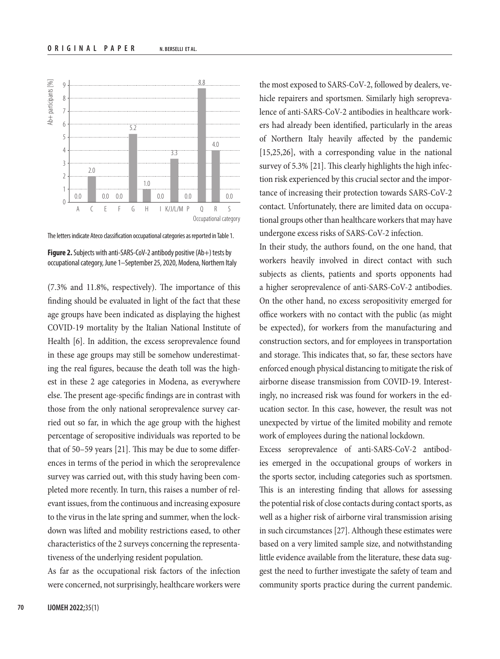

The letters indicate Ateco classification occupational categories as reported in Table 1.

**Figure 2.** Subjects with anti-SARS-CoV-2 antibody positive (Ab+) tests by occupational category, June 1–September 25, 2020, Modena, Northern Italy

(7.3% and 11.8%, respectively). The importance of this finding should be evaluated in light of the fact that these age groups have been indicated as displaying the highest COVID-19 mortality by the Italian National Institute of Health [6]. In addition, the excess seroprevalence found in these age groups may still be somehow underestimating the real figures, because the death toll was the highest in these 2 age categories in Modena, as everywhere else. The present age-specific findings are in contrast with those from the only national seroprevalence survey carried out so far, in which the age group with the highest percentage of seropositive individuals was reported to be that of 50–59 years [21]. This may be due to some differences in terms of the period in which the seroprevalence survey was carried out, with this study having been completed more recently. In turn, this raises a number of relevant issues, from the continuous and increasing exposure to the virus in the late spring and summer, when the lockdown was lifted and mobility restrictions eased, to other characteristics of the 2 surveys concerning the representativeness of the underlying resident population.

As far as the occupational risk factors of the infection were concerned, not surprisingly, healthcare workers were

the most exposed to SARS-CoV-2, followed by dealers, vehicle repairers and sportsmen. Similarly high seroprevalence of anti-SARS-CoV-2 antibodies in healthcare workers had already been identified, particularly in the areas of Northern Italy heavily affected by the pandemic [15,25,26], with a corresponding value in the national survey of 5.3% [21]. This clearly highlights the high infection risk experienced by this crucial sector and the importance of increasing their protection towards SARS-CoV-2 contact. Unfortunately, there are limited data on occupational groups other than healthcare workers that may have undergone excess risks of SARS-CoV-2 infection.

In their study, the authors found, on the one hand, that workers heavily involved in direct contact with such subjects as clients, patients and sports opponents had a higher seroprevalence of anti-SARS-CoV-2 antibodies. On the other hand, no excess seropositivity emerged for office workers with no contact with the public (as might be expected), for workers from the manufacturing and construction sectors, and for employees in transportation and storage. This indicates that, so far, these sectors have enforced enough physical distancing to mitigate the risk of airborne disease transmission from COVID-19. Interestingly, no increased risk was found for workers in the education sector. In this case, however, the result was not unexpected by virtue of the limited mobility and remote work of employees during the national lockdown.

Excess seroprevalence of anti-SARS-CoV-2 antibodies emerged in the occupational groups of workers in the sports sector, including categories such as sportsmen. This is an interesting finding that allows for assessing the potential risk of close contacts during contact sports, as well as a higher risk of airborne viral transmission arising in such circumstances [27]. Although these estimates were based on a very limited sample size, and notwithstanding little evidence available from the literature, these data suggest the need to further investigate the safety of team and community sports practice during the current pandemic.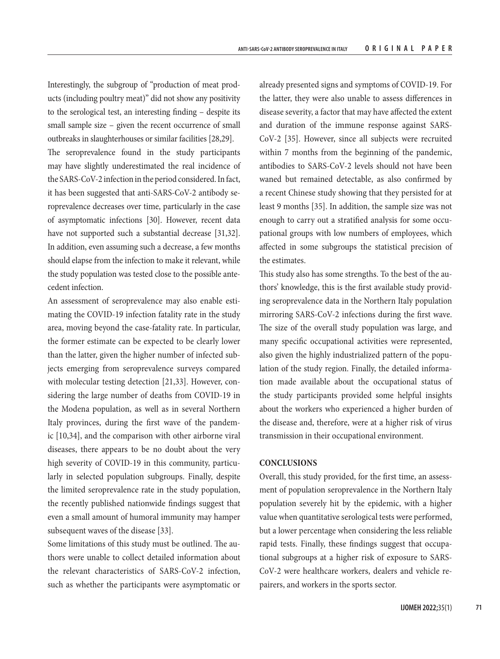Interestingly, the subgroup of "production of meat products (including poultry meat)" did not show any positivity to the serological test, an interesting finding – despite its small sample size – given the recent occurrence of small outbreaks in slaughterhouses or similar facilities [28,29].

The seroprevalence found in the study participants may have slightly underestimated the real incidence of the SARS-CoV-2 infection in the period considered. In fact, it has been suggested that anti-SARS-CoV-2 antibody seroprevalence decreases over time, particularly in the case of asymptomatic infections [30]. However, recent data have not supported such a substantial decrease [31,32]. In addition, even assuming such a decrease, a few months should elapse from the infection to make it relevant, while the study population was tested close to the possible antecedent infection.

An assessment of seroprevalence may also enable estimating the COVID-19 infection fatality rate in the study area, moving beyond the case-fatality rate. In particular, the former estimate can be expected to be clearly lower than the latter, given the higher number of infected subjects emerging from seroprevalence surveys compared with molecular testing detection [21,33]. However, considering the large number of deaths from COVID-19 in the Modena population, as well as in several Northern Italy provinces, during the first wave of the pandemic [10,34], and the comparison with other airborne viral diseases, there appears to be no doubt about the very high severity of COVID-19 in this community, particularly in selected population subgroups. Finally, despite the limited seroprevalence rate in the study population, the recently published nationwide findings suggest that even a small amount of humoral immunity may hamper subsequent waves of the disease [33].

Some limitations of this study must be outlined. The authors were unable to collect detailed information about the relevant characteristics of SARS-CoV-2 infection, such as whether the participants were asymptomatic or

already presented signs and symptoms of COVID-19. For the latter, they were also unable to assess differences in disease severity, a factor that may have affected the extent and duration of the immune response against SARS-CoV-2 [35]. However, since all subjects were recruited within 7 months from the beginning of the pandemic, antibodies to SARS-CoV-2 levels should not have been waned but remained detectable, as also confirmed by a recent Chinese study showing that they persisted for at least 9 months [35]. In addition, the sample size was not enough to carry out a stratified analysis for some occupational groups with low numbers of employees, which affected in some subgroups the statistical precision of the estimates.

This study also has some strengths. To the best of the authors' knowledge, this is the first available study providing seroprevalence data in the Northern Italy population mirroring SARS-CoV-2 infections during the first wave. The size of the overall study population was large, and many specific occupational activities were represented, also given the highly industrialized pattern of the population of the study region. Finally, the detailed information made available about the occupational status of the study participants provided some helpful insights about the workers who experienced a higher burden of the disease and, therefore, were at a higher risk of virus transmission in their occupational environment.

## **CONCLUSIONS**

Overall, this study provided, for the first time, an assessment of population seroprevalence in the Northern Italy population severely hit by the epidemic, with a higher value when quantitative serological tests were performed, but a lower percentage when considering the less reliable rapid tests. Finally, these findings suggest that occupational subgroups at a higher risk of exposure to SARS-CoV-2 were healthcare workers, dealers and vehicle repairers, and workers in the sports sector.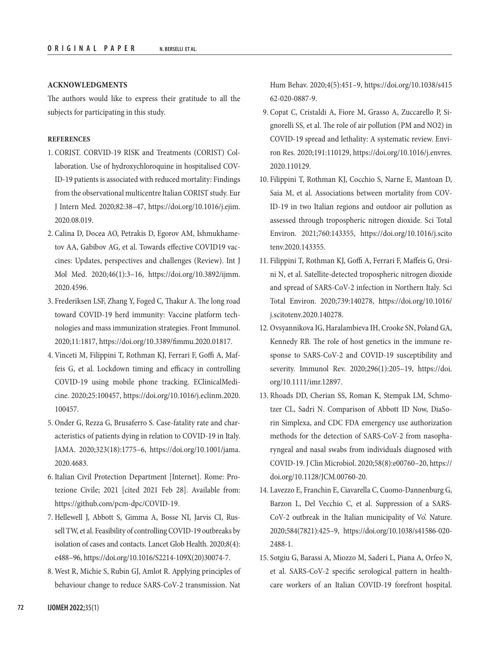#### **ACKNOWLEDGMENTS**

The authors would like to express their gratitude to all the subjects for participating in this study.

#### **REFERENCES**

- 1. CORIST. CORVID-19 RISK and Treatments (CORIST) Collaboration. Use of hydroxychloroquine in hospitalised COV-ID-19 patients is associated with reduced mortality: Findings from the observational multicentre Italian CORIST study. Eur J Intern Med. 2020;82:38–47, [https://doi.org/10.1016/j.ejim.](https://doi.org/10.1016/j.ejim.2020.08.019) [2020.08.019](https://doi.org/10.1016/j.ejim.2020.08.019).
- 2. Calina D, Docea AO, Petrakis D, Egorov AM, Ishmukhametov AA, Gabibov AG, et al. Towards effective COVID19 vaccines: Updates, perspectives and challenges (Review). Int J Mol Med. 2020;46(1):3–16, [https://doi.org/10.3892/ijmm.](https://doi.org/10.3892/ijmm.2020.4596) [2020.4596.](https://doi.org/10.3892/ijmm.2020.4596)
- 3. Frederiksen LSF, Zhang Y, Foged C, Thakur A. The long road toward COVID-19 herd immunity: Vaccine platform technologies and mass immunization strategies. Front Immunol. 2020;11:1817, [https://doi.org/10.3389/fimmu.2020.01817.](https://doi.org/10.3389/fimmu.2020.01817)
- 4. Vinceti M, Filippini T, Rothman KJ, Ferrari F, Goffi A, Maffeis G, et al. Lockdown timing and efficacy in controlling COVID-19 using mobile phone tracking. EClinicalMedicine. 2020;25:100457, [https://doi.org/10.1016/j.eclinm.2020.](https://doi.org/10.1016/j.eclinm.2020.100457) [100457.](https://doi.org/10.1016/j.eclinm.2020.100457)
- 5. Onder G, Rezza G, Brusaferro S. Case-fatality rate and characteristics of patients dying in relation to COVID-19 in Italy. JAMA. 2020;323(18):1775–6, [https://doi.org/10.1001/jama.](https://doi.org/10.1001/jama.2020.4683) [2020.4683.](https://doi.org/10.1001/jama.2020.4683)
- 6. Italian Civil Protection Department [Internet]. Rome: Protezione Civile; 2021 [cited 2021 Feb 28]. Available from: [https://github.com/pcm-dpc/COVID-19.](https://github.com/pcm-dpc/COVID-19)
- 7. Hellewell J, Abbott S, Gimma A, Bosse NI, Jarvis CI, Russell TW, et al. Feasibility of controlling COVID-19 outbreaks by isolation of cases and contacts. Lancet Glob Health. 2020;8(4): e488–96, [https://doi.org/10.1016/S2214-109X\(20\)30074-7](https://doi.org/10.1016/S2214-109X(20)30074-7).
- 8. West R, Michie S, Rubin GJ, Amlot R. Applying principles of behaviour change to reduce SARS-CoV-2 transmission. Nat

Hum Behav. 2020;4(5):451–9, [https://doi.org/10.1038/s415](https://doi.org/10.1038/s41562-020-0887-9) [62-020-0887-9.](https://doi.org/10.1038/s41562-020-0887-9)

- 9. Copat C, Cristaldi A, Fiore M, Grasso A, Zuccarello P, Signorelli SS, et al. The role of air pollution (PM and NO2) in COVID-19 spread and lethality: A systematic review. Environ Res. 2020;191:110129, [https://doi.org/10.1016/j.envres.](https://doi.org/10.1016/j.envres.2020.110129) [2020.110129](https://doi.org/10.1016/j.envres.2020.110129).
- 10. Filippini T, Rothman KJ, Cocchio S, Narne E, Mantoan D, Saia M, et al. Associations between mortality from COV-ID-19 in two Italian regions and outdoor air pollution as assessed through tropospheric nitrogen dioxide. Sci Total Environ. 2021;760:143355, [https://doi.org/10.1016/j.scito](https://doi.org/10.1016/j.scitotenv.2020.143355) [tenv.2020.143355.](https://doi.org/10.1016/j.scitotenv.2020.143355)
- 11. Filippini T, Rothman KJ, Goffi A, Ferrari F, Maffeis G, Orsini N, et al. Satellite-detected tropospheric nitrogen dioxide and spread of SARS-CoV-2 infection in Northern Italy. Sci Total Environ. 2020;739:140278, [https://doi.org/10.1016/](https://doi.org/10.1016/j.scitotenv.2020.140278) [j.scitotenv.2020.140278](https://doi.org/10.1016/j.scitotenv.2020.140278).
- 12. Ovsyannikova IG, Haralambieva IH, Crooke SN, Poland GA, Kennedy RB. The role of host genetics in the immune response to SARS-CoV-2 and COVID-19 susceptibility and severity. Immunol Rev. 2020;296(1):205–19, [https://doi.](https://doi.org/10.1111/imr.12897) [org/10.1111/imr.12897.](https://doi.org/10.1111/imr.12897)
- 13. Rhoads DD, Cherian SS, Roman K, Stempak LM, Schmotzer CL, Sadri N. Comparison of Abbott ID Now, DiaSorin Simplexa, and CDC FDA emergency use authorization methods for the detection of SARS-CoV-2 from nasopharyngeal and nasal swabs from individuals diagnosed with COVID-19. J Clin Microbiol. 2020;58(8):e00760–20, [https://](https://doi.org/10.1128/JCM.00760-20) [doi.org/10.1128/JCM.00760-20.](https://doi.org/10.1128/JCM.00760-20)
- 14. Lavezzo E, Franchin E, Ciavarella C, Cuomo-Dannenburg G, Barzon L, Del Vecchio C, et al. Suppression of a SARS-CoV-2 outbreak in the Italian municipality of Vo'. Nature. 2020;584(7821):425–9, [https://doi.org/10.1038/s41586-020-](https://doi.org/10.1038/s41586-020-2488-1) [2488-1.](https://doi.org/10.1038/s41586-020-2488-1)
- 15. Sotgiu G, Barassi A, Miozzo M, Saderi L, Piana A, Orfeo N, et al. SARS-CoV-2 specific serological pattern in healthcare workers of an Italian COVID-19 forefront hospital.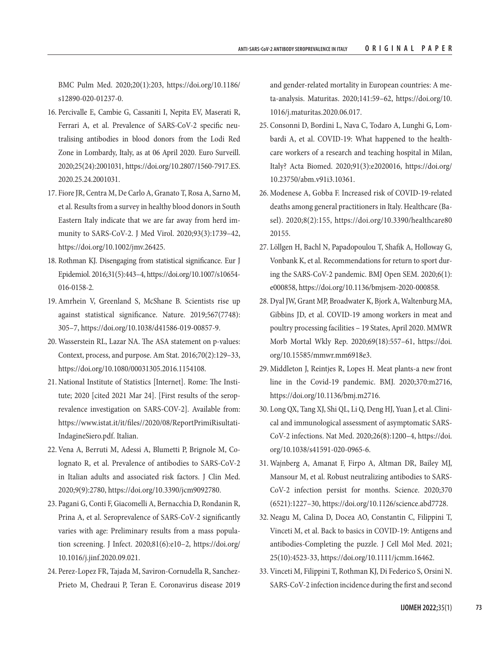BMC Pulm Med. 2020;20(1):203, [https://doi.org/10.1186/](https://doi.org/10.1186/s12890-020-01237-0) [s12890-020-01237-0.](https://doi.org/10.1186/s12890-020-01237-0)

- 16. Percivalle E, Cambie G, Cassaniti I, Nepita EV, Maserati R, Ferrari A, et al. Prevalence of SARS-CoV-2 specific neutralising antibodies in blood donors from the Lodi Red Zone in Lombardy, Italy, as at 06 April 2020. Euro Surveill. 2020;25(24):2001031, [https://doi.org/10.2807/1560-7917.ES.](https://doi.org/10.2807/1560-7917.ES.2020.25.24.2001031) [2020.25.24.2001031.](https://doi.org/10.2807/1560-7917.ES.2020.25.24.2001031)
- 17. Fiore JR, Centra M, De Carlo A, Granato T, Rosa A, Sarno M, et al. Results from a survey in healthy blood donors in South Eastern Italy indicate that we are far away from herd immunity to SARS-CoV-2. J Med Virol. 2020;93(3):1739–42, [https://doi.org/10.1002/jmv.26425.](https://doi.org/10.1002/jmv.26425)
- 18. Rothman KJ. Disengaging from statistical significance. Eur J Epidemiol. 2016;31(5):443–4, [https://doi.org/10.1007/s10654-](https://doi.org/10.1007/s10654-016-0158-2) [016-0158-2.](https://doi.org/10.1007/s10654-016-0158-2)
- 19. Amrhein V, Greenland S, McShane B. Scientists rise up against statistical significance. Nature. 2019;567(7748): 305–7, [https://doi.org/10.1038/d41586-019-00857-9.](https://doi.org/10.1038/d41586-019-00857-9)
- 20. Wasserstein RL, Lazar NA. The ASA statement on p-values: Context, process, and purpose. Am Stat. 2016;70(2):129–33, <https://doi.org/10.1080/00031305.2016.1154108>.
- 21. National Institute of Statistics [Internet]. Rome: The Institute; 2020 [cited 2021 Mar 24]. [First results of the seroprevalence investigation on SARS-COV-2]. Available from: [https://www.istat.it/it/files//2020/08/ReportPrimiRisultati-](https://www.istat.it/it/files//2020/08/ReportPrimiRisultatiIndagineSiero.pdf)[IndagineSiero.pdf.](https://www.istat.it/it/files//2020/08/ReportPrimiRisultatiIndagineSiero.pdf) Italian.
- 22. Vena A, Berruti M, Adessi A, Blumetti P, Brignole M, Colognato R, et al. Prevalence of antibodies to SARS-CoV-2 in Italian adults and associated risk factors. J Clin Med. 2020;9(9):2780, <https://doi.org/10.3390/jcm9092780>.
- 23. Pagani G, Conti F, Giacomelli A, Bernacchia D, Rondanin R, Prina A, et al. Seroprevalence of SARS-CoV-2 significantly varies with age: Preliminary results from a mass population screening. J Infect. 2020;81(6):e10–2, [https://doi.org/](https://doi.org/10.1016/j.jinf.2020.09.021) [10.1016/j.jinf.2020.09.021.](https://doi.org/10.1016/j.jinf.2020.09.021)
- 24. Perez-Lopez FR, Tajada M, Saviron-Cornudella R, Sanchez-Prieto M, Chedraui P, Teran E. Coronavirus disease 2019

and gender-related mortality in European countries: A meta-analysis. Maturitas. 2020;141:59–62, [https://doi.org/10.](https://doi.org/10.1016/j.maturitas.2020.06.017) [1016/j.maturitas.2020.06.017.](https://doi.org/10.1016/j.maturitas.2020.06.017)

- 25. Consonni D, Bordini L, Nava C, Todaro A, Lunghi G, Lombardi A, et al. COVID-19: What happened to the healthcare workers of a research and teaching hospital in Milan, Italy? Acta Biomed. 2020;91(3):e2020016, [https://doi.org/](https://doi.org/10.23750/abm.v91i3.10361) [10.23750/abm.v91i3.10361.](https://doi.org/10.23750/abm.v91i3.10361)
- 26. Modenese A, Gobba F. Increased risk of COVID-19-related deaths among general practitioners in Italy. Healthcare (Basel). 2020;8(2):155, [https://doi.org/10.3390/healthcare80](https://doi.org/10.3390/healthcare8020155) [20155.](https://doi.org/10.3390/healthcare8020155)
- 27. Löllgen H, Bachl N, Papadopoulou T, Shafik A, Holloway G, Vonbank K, et al. Recommendations for return to sport during the SARS-CoV-2 pandemic. BMJ Open SEM. 2020;6(1): e000858, [https://doi.org/10.1136/bmjsem-2020-000858.](https://doi.org/10.1136/bmjsem-2020-000858)
- 28. Dyal JW, Grant MP, Broadwater K, Bjork A, Waltenburg MA, Gibbins JD, et al. COVID-19 among workers in meat and poultry processing facilities – 19 States, April 2020. MMWR Morb Mortal Wkly Rep. 2020;69(18):557–61, [https://doi.](https://doi.org/10.15585/mmwr.mm6918e3) [org/10.15585/mmwr.mm6918e3.](https://doi.org/10.15585/mmwr.mm6918e3)
- 29. Middleton J, Reintjes R, Lopes H. Meat plants-a new front line in the Covid-19 pandemic. BMJ. 2020;370:m2716, <https://doi.org/10.1136/bmj.m2716>.
- 30. Long QX, Tang XJ, Shi QL, Li Q, Deng HJ, Yuan J, et al. Clinical and immunological assessment of asymptomatic SARS-CoV-2 infections. Nat Med. 2020;26(8):1200–4, [https://doi.](https://doi.org/10.1038/s41591-020-0965-6) [org/10.1038/s41591-020-0965-6](https://doi.org/10.1038/s41591-020-0965-6).
- 31. Wajnberg A, Amanat F, Firpo A, Altman DR, Bailey MJ, Mansour M, et al. Robust neutralizing antibodies to SARS-CoV-2 infection persist for months. Science. 2020;370 (6521):1227–30, [https://doi.org/10.1126/science.abd7728.](https://doi.org/10.1126/science.abd7728)
- 32. Neagu M, Calina D, Docea AO, Constantin C, Filippini T, Vinceti M, et al. Back to basics in COVID-19: Antigens and antibodies-Completing the puzzle. J Cell Mol Med. 2021; 25(10):4523-33, [https://doi.org/10.1111/jcmm.16462.](https://doi.org/10.1111/jcmm.16462)
- 33. Vinceti M, Filippini T, Rothman KJ, Di Federico S, Orsini N. SARS-CoV-2 infection incidence during the first and second